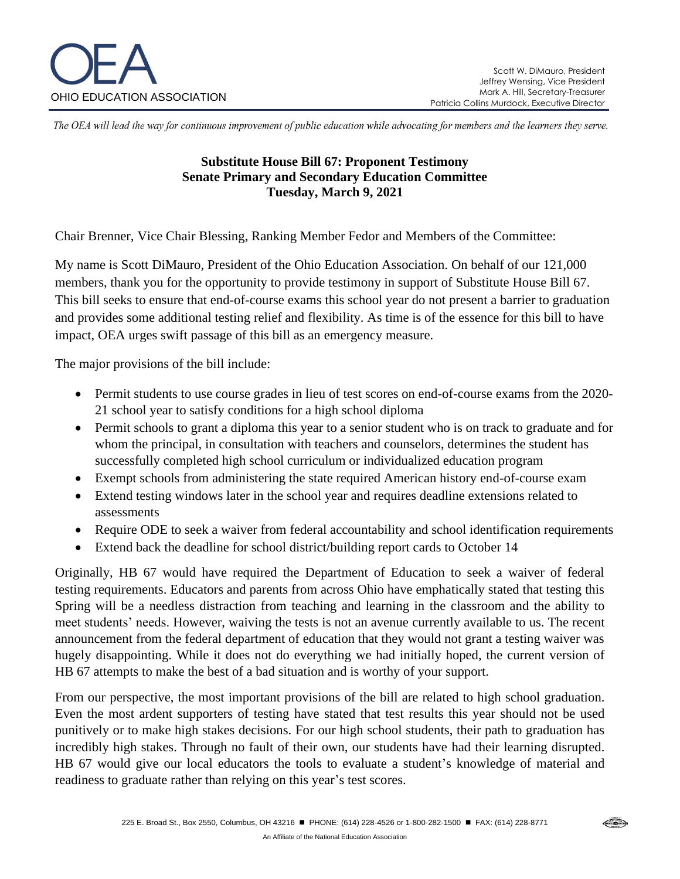

⇔

The OEA will lead the way for continuous improvement of public education while advocating for members and the learners they serve.

## **Substitute House Bill 67: Proponent Testimony Senate Primary and Secondary Education Committee Tuesday, March 9, 2021**

Chair Brenner, Vice Chair Blessing, Ranking Member Fedor and Members of the Committee:

My name is Scott DiMauro, President of the Ohio Education Association. On behalf of our 121,000 members, thank you for the opportunity to provide testimony in support of Substitute House Bill 67. This bill seeks to ensure that end-of-course exams this school year do not present a barrier to graduation and provides some additional testing relief and flexibility. As time is of the essence for this bill to have impact, OEA urges swift passage of this bill as an emergency measure.

The major provisions of the bill include:

- Permit students to use course grades in lieu of test scores on end-of-course exams from the 2020-21 school year to satisfy conditions for a high school diploma
- Permit schools to grant a diploma this year to a senior student who is on track to graduate and for whom the principal, in consultation with teachers and counselors, determines the student has successfully completed high school curriculum or individualized education program
- Exempt schools from administering the state required American history end-of-course exam
- Extend testing windows later in the school year and requires deadline extensions related to assessments
- Require ODE to seek a waiver from federal accountability and school identification requirements
- Extend back the deadline for school district/building report cards to October 14

Originally, HB 67 would have required the Department of Education to seek a waiver of federal testing requirements. Educators and parents from across Ohio have emphatically stated that testing this Spring will be a needless distraction from teaching and learning in the classroom and the ability to meet students' needs. However, waiving the tests is not an avenue currently available to us. The recent announcement from the federal department of education that they would not grant a testing waiver was hugely disappointing. While it does not do everything we had initially hoped, the current version of HB 67 attempts to make the best of a bad situation and is worthy of your support.

From our perspective, the most important provisions of the bill are related to high school graduation. Even the most ardent supporters of testing have stated that test results this year should not be used punitively or to make high stakes decisions. For our high school students, their path to graduation has incredibly high stakes. Through no fault of their own, our students have had their learning disrupted. HB 67 would give our local educators the tools to evaluate a student's knowledge of material and readiness to graduate rather than relying on this year's test scores.